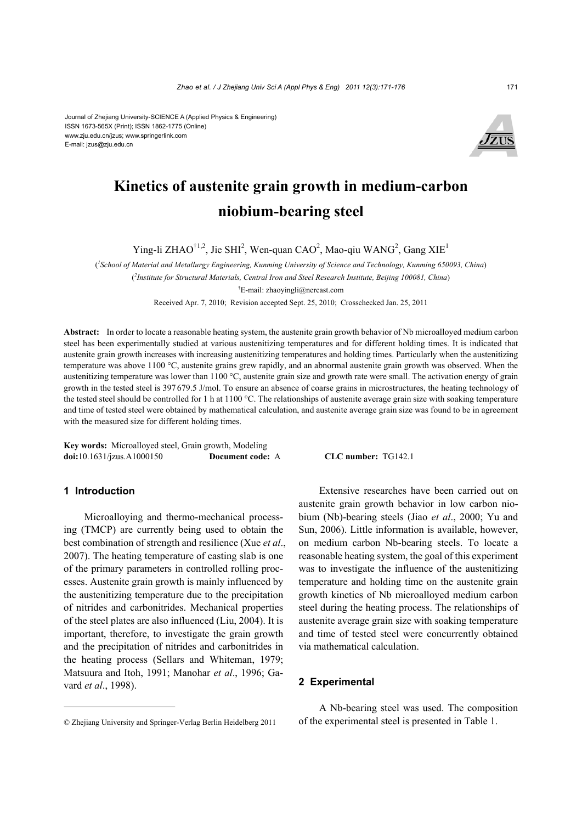Journal of Zhejiang University-SCIENCE A (Applied Physics & Engineering) ISSN 1673-565X (Print); ISSN 1862-1775 (Online) www.zju.edu.cn/jzus; www.springerlink.com E-mail: jzus@zju.edu.cn



# **Kinetics of austenite grain growth in medium-carbon niobium-bearing steel**

Ying-li ZHAO<sup>†1,2</sup>, Jie SHI<sup>2</sup>, Wen-quan CAO<sup>2</sup>, Mao-qiu WANG<sup>2</sup>, Gang XIE<sup>1</sup>

( *1 School of Material and Metallurgy Engineering, Kunming University of Science and Technology, Kunming 650093, China*) ( *2 Institute for Structural Materials, Central Iron and Steel Research Institute, Beijing 100081, China*) † E-mail: zhaoyingli@nercast.com

Received Apr. 7, 2010; Revision accepted Sept. 25, 2010; Crosschecked Jan. 25, 2011

**Abstract:** In order to locate a reasonable heating system, the austenite grain growth behavior of Nb microalloyed medium carbon steel has been experimentally studied at various austenitizing temperatures and for different holding times. It is indicated that austenite grain growth increases with increasing austenitizing temperatures and holding times. Particularly when the austenitizing temperature was above 1100 °C, austenite grains grew rapidly, and an abnormal austenite grain growth was observed. When the austenitizing temperature was lower than 1100 °C, austenite grain size and growth rate were small. The activation energy of grain growth in the tested steel is 397 679.5 J/mol. To ensure an absence of coarse grains in microstructures, the heating technology of the tested steel should be controlled for 1 h at 1100 °C. The relationships of austenite average grain size with soaking temperature and time of tested steel were obtained by mathematical calculation, and austenite average grain size was found to be in agreement with the measured size for different holding times.

**Key words:** Microalloyed steel, Grain growth, Modeling **doi:**10.1631/jzus.A1000150 **Document code:** A **CLC number:** TG142.1

# **1 Introduction**

Microalloying and thermo-mechanical processing (TMCP) are currently being used to obtain the best combination of strength and resilience (Xue *et al*., 2007). The heating temperature of casting slab is one of the primary parameters in controlled rolling processes. Austenite grain growth is mainly influenced by the austenitizing temperature due to the precipitation of nitrides and carbonitrides. Mechanical properties of the steel plates are also influenced (Liu, 2004). It is important, therefore, to investigate the grain growth and the precipitation of nitrides and carbonitrides in the heating process (Sellars and Whiteman, 1979; Matsuura and Itoh, 1991; Manohar *et al*., 1996; Gavard *et al*., 1998).

Extensive researches have been carried out on austenite grain growth behavior in low carbon niobium (Nb)-bearing steels (Jiao *et al*., 2000; Yu and Sun, 2006). Little information is available, however, on medium carbon Nb-bearing steels. To locate a reasonable heating system, the goal of this experiment was to investigate the influence of the austenitizing temperature and holding time on the austenite grain growth kinetics of Nb microalloyed medium carbon steel during the heating process. The relationships of austenite average grain size with soaking temperature and time of tested steel were concurrently obtained via mathematical calculation.

## **2 Experimental**

A Nb-bearing steel was used. The composition of the experimental steel is presented in Table 1.

<sup>©</sup> Zhejiang University and Springer-Verlag Berlin Heidelberg 2011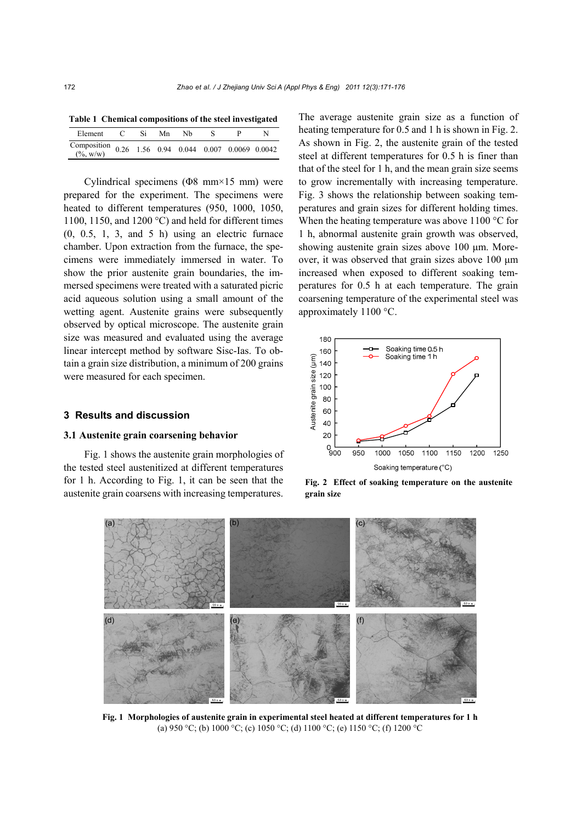| Table 1 Chemical compositions of the steel investigated |  |  |  |  |      |  |  |
|---------------------------------------------------------|--|--|--|--|------|--|--|
| Element C Si Mn Nb                                      |  |  |  |  | - 82 |  |  |
| Composition 0.26 1.56 0.94 0.044 0.007 0.0069 0.0042    |  |  |  |  |      |  |  |

Cylindrical specimens (Φ8 mm×15 mm) were prepared for the experiment. The specimens were heated to different temperatures (950, 1000, 1050, 1100, 1150, and 1200 °C) and held for different times  $(0, 0.5, 1, 3, and 5 h)$  using an electric furnace chamber. Upon extraction from the furnace, the specimens were immediately immersed in water. To show the prior austenite grain boundaries, the immersed specimens were treated with a saturated picric acid aqueous solution using a small amount of the wetting agent. Austenite grains were subsequently observed by optical microscope. The austenite grain size was measured and evaluated using the average linear intercept method by software Sisc-Ias. To obtain a grain size distribution, a minimum of 200 grains were measured for each specimen.

## **3 Results and discussion**

## **3.1 Austenite grain coarsening behavior**

Fig. 1 shows the austenite grain morphologies of the tested steel austenitized at different temperatures for 1 h. According to Fig. 1, it can be seen that the austenite grain coarsens with increasing temperatures.

The average austenite grain size as a function of heating temperature for 0.5 and 1 h is shown in Fig. 2. As shown in Fig. 2, the austenite grain of the tested steel at different temperatures for 0.5 h is finer than that of the steel for 1 h, and the mean grain size seems to grow incrementally with increasing temperature. Fig. 3 shows the relationship between soaking temperatures and grain sizes for different holding times. When the heating temperature was above 1100 °C for 1 h, abnormal austenite grain growth was observed, showing austenite grain sizes above 100 μm. Moreover, it was observed that grain sizes above 100 μm increased when exposed to different soaking temperatures for 0.5 h at each temperature. The grain coarsening temperature of the experimental steel was approximately 1100 °C.



**Fig. 2 Effect of soaking temperature on the austenite** 



**Fig. 1 Morphologies of austenite grain in experimental steel heated at different temperatures for 1 h**  (a) 950 °C; (b) 1000 °C; (c) 1050 °C; (d) 1100 °C; (e) 1150 °C; (f) 1200 °C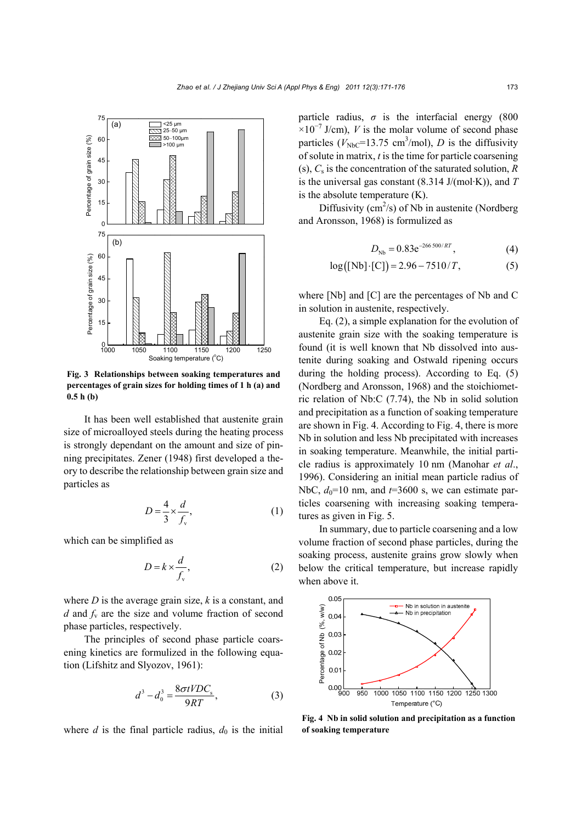

**Fig. 3 Relationships between soaking temperatures and percentages of grain sizes for holding times of 1 h (a) and 0.5 h (b)** 

It has been well established that austenite grain size of microalloyed steels during the heating process is strongly dependant on the amount and size of pinning precipitates. Zener (1948) first developed a theory to describe the relationship between grain size and particles as

$$
D = \frac{4}{3} \times \frac{d}{f_v},\tag{1}
$$

which can be simplified as

$$
D = k \times \frac{d}{f_v},\tag{2}
$$

where *D* is the average grain size, *k* is a constant, and *d* and  $f<sub>v</sub>$  are the size and volume fraction of second phase particles, respectively.

The principles of second phase particle coarsening kinetics are formulized in the following equation (Lifshitz and Slyozov, 1961):

$$
d^3 - d_0^3 = \frac{8\sigma t VDC_s}{9RT},\tag{3}
$$

where *d* is the final particle radius,  $d_0$  is the initial

particle radius,  $\sigma$  is the interfacial energy (800  $\times 10^{-7}$  J/cm), *V* is the molar volume of second phase particles ( $V_{\text{NbC}}$ =13.75 cm<sup>3</sup>/mol), *D* is the diffusivity of solute in matrix, *t* is the time for particle coarsening (s), *C*<sup>s</sup> is the concentration of the saturated solution, *R* is the universal gas constant (8.314 J/(mol·K)), and *T*  is the absolute temperature (K).

Diffusivity (cm<sup>2</sup>/s) of Nb in austenite (Nordberg and Aronsson, 1968) is formulized as

$$
D_{\text{Nb}} = 0.83 e^{-266 \, 500/RT}, \tag{4}
$$

$$
log([Nb] \cdot [C]) = 2.96 - 7510/T, \tag{5}
$$

where [Nb] and [C] are the percentages of Nb and C in solution in austenite, respectively.

Eq. (2), a simple explanation for the evolution of austenite grain size with the soaking temperature is found (it is well known that Nb dissolved into austenite during soaking and Ostwald ripening occurs during the holding process). According to Eq. (5) (Nordberg and Aronsson, 1968) and the stoichiometric relation of Nb:C (7.74), the Nb in solid solution and precipitation as a function of soaking temperature are shown in Fig. 4. According to Fig. 4, there is more Nb in solution and less Nb precipitated with increases in soaking temperature. Meanwhile, the initial particle radius is approximately 10 nm (Manohar *et al*., 1996). Considering an initial mean particle radius of NbC,  $d_0$ =10 nm, and  $t$ =3600 s, we can estimate particles coarsening with increasing soaking temperatures as given in Fig. 5.

In summary, due to particle coarsening and a low volume fraction of second phase particles, during the soaking process, austenite grains grow slowly when below the critical temperature, but increase rapidly when above it.



**Fig. 4 Nb in solid solution and precipitation as a function**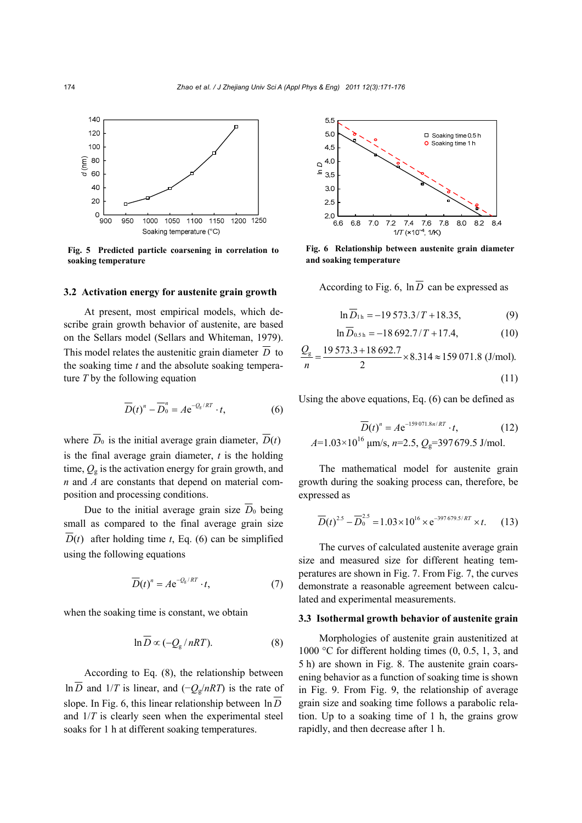

**Fig. 5 Predicted particle coarsening in correlation to soaking temperature** 

#### **3.2 Activation energy for austenite grain growth**

At present, most empirical models, which describe grain growth behavior of austenite, are based on the Sellars model (Sellars and Whiteman, 1979). This model relates the austenitic grain diameter  $\overline{D}$  to the soaking time *t* and the absolute soaking temperature *T* by the following equation

$$
\overline{D}(t)^n - \overline{D}_0^n = A e^{-Q_g/RT} \cdot t, \qquad (6)
$$

where  $\overline{D}_0$  is the initial average grain diameter,  $\overline{D}(t)$ is the final average grain diameter, *t* is the holding time,  $Q_{g}$  is the activation energy for grain growth, and *n* and *A* are constants that depend on material composition and processing conditions.

Due to the initial average grain size  $\overline{D}_0$  being small as compared to the final average grain size  $D(t)$  after holding time *t*, Eq. (6) can be simplified using the following equations

$$
\overline{D}(t)^n = A e^{-Q_g/RT} \cdot t, \qquad (7)
$$

when the soaking time is constant, we obtain

$$
\ln \overline{D} \propto (-Q_{\rm g}/nRT). \tag{8}
$$

According to Eq. (8), the relationship between ln  $\overline{D}$  and 1/*T* is linear, and (− $Q_g/nRT$ ) is the rate of slope. In Fig. 6, this linear relationship between  $\ln \overline{D}$ and 1/*T* is clearly seen when the experimental steel soaks for 1 h at different soaking temperatures.



**Fig. 6 Relationship between austenite grain diameter** 

According to Fig. 6,  $\ln \overline{D}$  can be expressed as

$$
\ln D_{1h} = -19\,573.3/T + 18.35,\tag{9}
$$

$$
\ln D_{0.5\,\mathrm{h}} = -18\,692.7/T + 17.4,\tag{10}
$$

$$
\frac{Q_{\rm g}}{n} = \frac{19\,573.3 + 18\,692.7}{2} \times 8.314 \approx 159\,071.8\,\,\text{(J/mol)}.\tag{11}
$$

Using the above equations, Eq. (6) can be defined as

$$
\overline{D}(t)^n = A e^{-159071.8n/RT} \cdot t, \qquad (12)
$$
  

$$
A=1.03\times10^{16} \text{ }\mu\text{m/s}, n=2.5, Q_g=397679.5 \text{ J/mol}.
$$

The mathematical model for austenite grain growth during the soaking process can, therefore, be expressed as

$$
\overline{D}(t)^{2.5} - \overline{D}_0^{2.5} = 1.03 \times 10^{16} \times e^{-397\,679.5/RT} \times t. \tag{13}
$$

The curves of calculated austenite average grain size and measured size for different heating temperatures are shown in Fig. 7. From Fig. 7, the curves demonstrate a reasonable agreement between calculated and experimental measurements.

#### **3.3 Isothermal growth behavior of austenite grain**

Morphologies of austenite grain austenitized at 1000 °C for different holding times  $(0, 0.5, 1, 3, \text{ and})$ 5 h) are shown in Fig. 8. The austenite grain coarsening behavior as a function of soaking time is shown in Fig. 9. From Fig. 9, the relationship of average grain size and soaking time follows a parabolic relation. Up to a soaking time of 1 h, the grains grow rapidly, and then decrease after 1 h.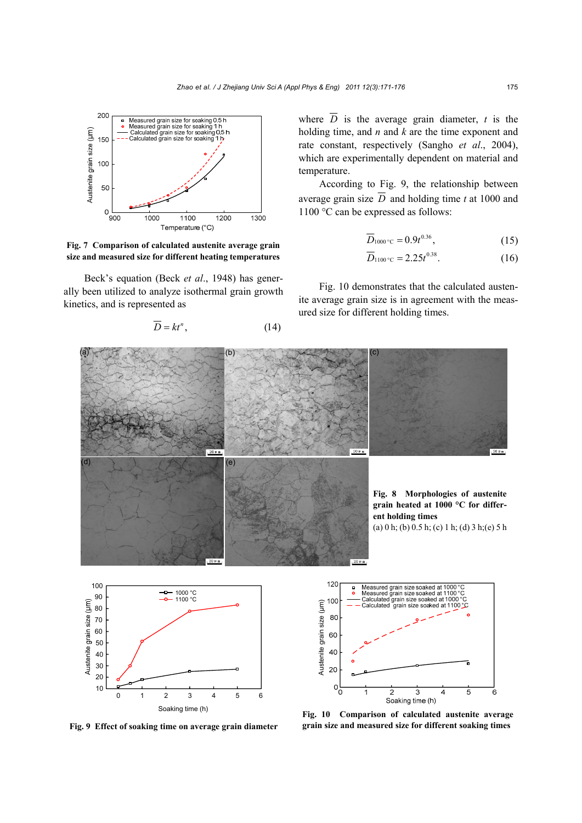

**Fig. 7 Comparison of calculated austenite average grain size and measured size for different heating temperatures**

Beck's equation (Beck *et al*., 1948) has generally been utilized to analyze isothermal grain growth kinetics, and is represented as

$$
\overline{D} = kt^n, \tag{14}
$$

where  $\overline{D}$  is the average grain diameter, *t* is the holding time, and *n* and *k* are the time exponent and rate constant, respectively (Sangho *et al*., 2004), which are experimentally dependent on material and temperature.

According to Fig. 9, the relationship between average grain size  $\overline{D}$  and holding time *t* at 1000 and 1100 °C can be expressed as follows:

$$
\overline{D}_{1000\degree \text{C}} = 0.9t^{0.36},\tag{15}
$$

$$
\overline{D}_{1100\degree\text{C}} = 2.25t^{0.38}.\tag{16}
$$

Fig. 10 demonstrates that the calculated austenite average grain size is in agreement with the measured size for different holding times.



**Fig. 9 Effect of soaking time on average grain diameter**

**Fig. 10 Comparison of calculated austenite average**